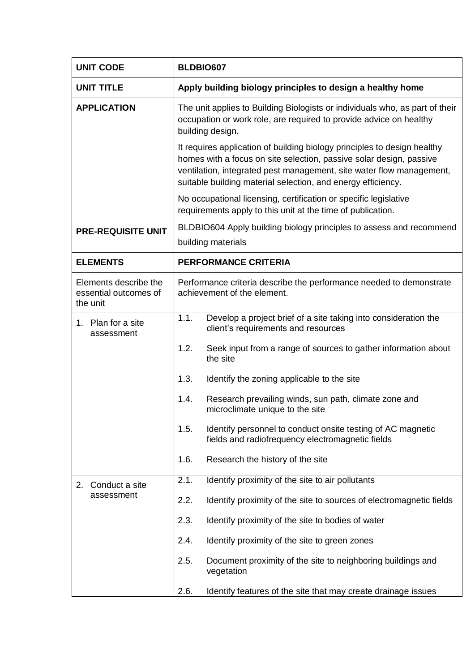| <b>UNIT CODE</b>                                           | BLDBIO607                                                                                                                                                                                                                                                                               |  |
|------------------------------------------------------------|-----------------------------------------------------------------------------------------------------------------------------------------------------------------------------------------------------------------------------------------------------------------------------------------|--|
| <b>UNIT TITLE</b>                                          | Apply building biology principles to design a healthy home                                                                                                                                                                                                                              |  |
| <b>APPLICATION</b>                                         | The unit applies to Building Biologists or individuals who, as part of their<br>occupation or work role, are required to provide advice on healthy<br>building design.                                                                                                                  |  |
|                                                            | It requires application of building biology principles to design healthy<br>homes with a focus on site selection, passive solar design, passive<br>ventilation, integrated pest management, site water flow management,<br>suitable building material selection, and energy efficiency. |  |
|                                                            | No occupational licensing, certification or specific legislative<br>requirements apply to this unit at the time of publication.                                                                                                                                                         |  |
| <b>PRE-REQUISITE UNIT</b>                                  | BLDBIO604 Apply building biology principles to assess and recommend<br>building materials                                                                                                                                                                                               |  |
| <b>ELEMENTS</b>                                            | <b>PERFORMANCE CRITERIA</b>                                                                                                                                                                                                                                                             |  |
| Elements describe the<br>essential outcomes of<br>the unit | Performance criteria describe the performance needed to demonstrate<br>achievement of the element.                                                                                                                                                                                      |  |
| 1. Plan for a site<br>assessment                           | 1.1.<br>Develop a project brief of a site taking into consideration the<br>client's requirements and resources                                                                                                                                                                          |  |
|                                                            | 1.2.<br>Seek input from a range of sources to gather information about<br>the site                                                                                                                                                                                                      |  |
|                                                            | 1.3.<br>Identify the zoning applicable to the site                                                                                                                                                                                                                                      |  |
|                                                            | Research prevailing winds, sun path, climate zone and<br>1.4.<br>microclimate unique to the site                                                                                                                                                                                        |  |
|                                                            | 1.5.<br>Identify personnel to conduct onsite testing of AC magnetic<br>fields and radiofrequency electromagnetic fields                                                                                                                                                                 |  |
|                                                            | 1.6.<br>Research the history of the site                                                                                                                                                                                                                                                |  |
| Conduct a site<br>2.                                       | 2.1.<br>Identify proximity of the site to air pollutants                                                                                                                                                                                                                                |  |
| assessment                                                 | 2.2.<br>Identify proximity of the site to sources of electromagnetic fields                                                                                                                                                                                                             |  |
|                                                            | 2.3.<br>Identify proximity of the site to bodies of water                                                                                                                                                                                                                               |  |
|                                                            | 2.4.<br>Identify proximity of the site to green zones                                                                                                                                                                                                                                   |  |
|                                                            | 2.5.<br>Document proximity of the site to neighboring buildings and<br>vegetation                                                                                                                                                                                                       |  |
|                                                            | Identify features of the site that may create drainage issues<br>2.6.                                                                                                                                                                                                                   |  |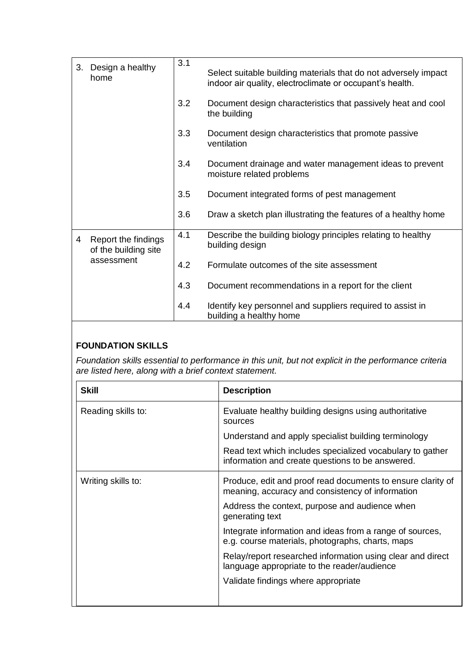| 3. | Design a healthy<br>home                                  | 3.1 | Select suitable building materials that do not adversely impact<br>indoor air quality, electroclimate or occupant's health. |
|----|-----------------------------------------------------------|-----|-----------------------------------------------------------------------------------------------------------------------------|
|    |                                                           | 3.2 | Document design characteristics that passively heat and cool<br>the building                                                |
|    |                                                           | 3.3 | Document design characteristics that promote passive<br>ventilation                                                         |
|    |                                                           | 3.4 | Document drainage and water management ideas to prevent<br>moisture related problems                                        |
|    |                                                           | 3.5 | Document integrated forms of pest management                                                                                |
|    |                                                           | 3.6 | Draw a sketch plan illustrating the features of a healthy home                                                              |
| 4  | Report the findings<br>of the building site<br>assessment | 4.1 | Describe the building biology principles relating to healthy<br>building design                                             |
|    |                                                           | 4.2 | Formulate outcomes of the site assessment                                                                                   |
|    |                                                           | 4.3 | Document recommendations in a report for the client                                                                         |
|    |                                                           | 4.4 | Identify key personnel and suppliers required to assist in<br>building a healthy home                                       |

## **FOUNDATION SKILLS**

*Foundation skills essential to performance in this unit, but not explicit in the performance criteria are listed here, along with a brief context statement.* 

| <b>Skill</b>       | <b>Description</b>                                                                                              |
|--------------------|-----------------------------------------------------------------------------------------------------------------|
| Reading skills to: | Evaluate healthy building designs using authoritative<br>sources                                                |
|                    | Understand and apply specialist building terminology                                                            |
|                    | Read text which includes specialized vocabulary to gather<br>information and create questions to be answered.   |
| Writing skills to: | Produce, edit and proof read documents to ensure clarity of<br>meaning, accuracy and consistency of information |
|                    | Address the context, purpose and audience when<br>generating text                                               |
|                    | Integrate information and ideas from a range of sources,<br>e.g. course materials, photographs, charts, maps    |
|                    | Relay/report researched information using clear and direct<br>language appropriate to the reader/audience       |
|                    | Validate findings where appropriate                                                                             |
|                    |                                                                                                                 |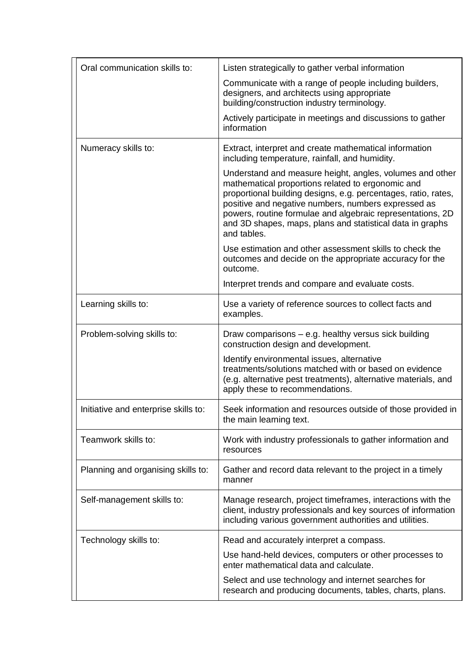| Oral communication skills to:        | Listen strategically to gather verbal information                                                                                                                                                                                                                                                                                                                                |
|--------------------------------------|----------------------------------------------------------------------------------------------------------------------------------------------------------------------------------------------------------------------------------------------------------------------------------------------------------------------------------------------------------------------------------|
|                                      | Communicate with a range of people including builders,<br>designers, and architects using appropriate<br>building/construction industry terminology.                                                                                                                                                                                                                             |
|                                      | Actively participate in meetings and discussions to gather<br>information                                                                                                                                                                                                                                                                                                        |
| Numeracy skills to:                  | Extract, interpret and create mathematical information<br>including temperature, rainfall, and humidity.                                                                                                                                                                                                                                                                         |
|                                      | Understand and measure height, angles, volumes and other<br>mathematical proportions related to ergonomic and<br>proportional building designs, e.g. percentages, ratio, rates,<br>positive and negative numbers, numbers expressed as<br>powers, routine formulae and algebraic representations, 2D<br>and 3D shapes, maps, plans and statistical data in graphs<br>and tables. |
|                                      | Use estimation and other assessment skills to check the<br>outcomes and decide on the appropriate accuracy for the<br>outcome.                                                                                                                                                                                                                                                   |
|                                      | Interpret trends and compare and evaluate costs.                                                                                                                                                                                                                                                                                                                                 |
| Learning skills to:                  | Use a variety of reference sources to collect facts and<br>examples.                                                                                                                                                                                                                                                                                                             |
| Problem-solving skills to:           | Draw comparisons – e.g. healthy versus sick building<br>construction design and development.                                                                                                                                                                                                                                                                                     |
|                                      | Identify environmental issues, alternative<br>treatments/solutions matched with or based on evidence<br>(e.g. alternative pest treatments), alternative materials, and<br>apply these to recommendations.                                                                                                                                                                        |
| Initiative and enterprise skills to: | Seek information and resources outside of those provided in<br>the main learning text.                                                                                                                                                                                                                                                                                           |
| Teamwork skills to:                  | Work with industry professionals to gather information and<br>resources                                                                                                                                                                                                                                                                                                          |
| Planning and organising skills to:   | Gather and record data relevant to the project in a timely<br>manner                                                                                                                                                                                                                                                                                                             |
| Self-management skills to:           | Manage research, project timeframes, interactions with the<br>client, industry professionals and key sources of information<br>including various government authorities and utilities.                                                                                                                                                                                           |
| Technology skills to:                | Read and accurately interpret a compass.                                                                                                                                                                                                                                                                                                                                         |
|                                      | Use hand-held devices, computers or other processes to<br>enter mathematical data and calculate.                                                                                                                                                                                                                                                                                 |
|                                      | Select and use technology and internet searches for<br>research and producing documents, tables, charts, plans.                                                                                                                                                                                                                                                                  |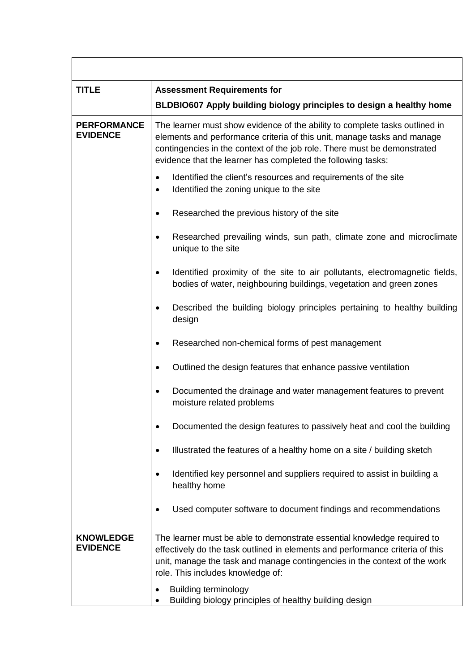| <b>TITLE</b>                          | <b>Assessment Requirements for</b>                                                                                                                                                                                                                                                                 |
|---------------------------------------|----------------------------------------------------------------------------------------------------------------------------------------------------------------------------------------------------------------------------------------------------------------------------------------------------|
|                                       | BLDBIO607 Apply building biology principles to design a healthy home                                                                                                                                                                                                                               |
| <b>PERFORMANCE</b><br><b>EVIDENCE</b> | The learner must show evidence of the ability to complete tasks outlined in<br>elements and performance criteria of this unit, manage tasks and manage<br>contingencies in the context of the job role. There must be demonstrated<br>evidence that the learner has completed the following tasks: |
|                                       | Identified the client's resources and requirements of the site<br>$\bullet$<br>Identified the zoning unique to the site<br>$\bullet$                                                                                                                                                               |
|                                       | Researched the previous history of the site<br>$\bullet$                                                                                                                                                                                                                                           |
|                                       | Researched prevailing winds, sun path, climate zone and microclimate<br>$\bullet$<br>unique to the site                                                                                                                                                                                            |
|                                       | Identified proximity of the site to air pollutants, electromagnetic fields,<br>$\bullet$<br>bodies of water, neighbouring buildings, vegetation and green zones                                                                                                                                    |
|                                       | Described the building biology principles pertaining to healthy building<br>$\bullet$<br>design                                                                                                                                                                                                    |
|                                       | Researched non-chemical forms of pest management<br>$\bullet$                                                                                                                                                                                                                                      |
|                                       | Outlined the design features that enhance passive ventilation<br>$\bullet$                                                                                                                                                                                                                         |
|                                       | Documented the drainage and water management features to prevent<br>$\bullet$<br>moisture related problems                                                                                                                                                                                         |
|                                       | Documented the design features to passively heat and cool the building<br>$\bullet$                                                                                                                                                                                                                |
|                                       | Illustrated the features of a healthy home on a site / building sketch<br>$\bullet$                                                                                                                                                                                                                |
|                                       | Identified key personnel and suppliers required to assist in building a<br>$\bullet$<br>healthy home                                                                                                                                                                                               |
|                                       | Used computer software to document findings and recommendations<br>$\bullet$                                                                                                                                                                                                                       |
| <b>KNOWLEDGE</b><br><b>EVIDENCE</b>   | The learner must be able to demonstrate essential knowledge required to<br>effectively do the task outlined in elements and performance criteria of this<br>unit, manage the task and manage contingencies in the context of the work<br>role. This includes knowledge of:                         |
|                                       | <b>Building terminology</b><br>٠<br>Building biology principles of healthy building design                                                                                                                                                                                                         |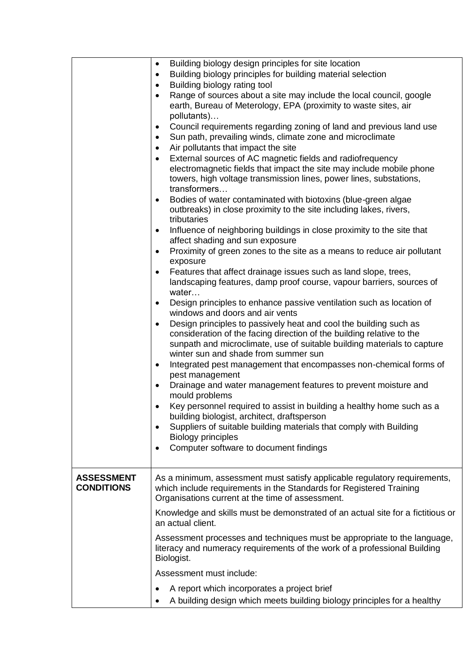|                   | Building biology design principles for site location<br>$\bullet$                                                                                    |
|-------------------|------------------------------------------------------------------------------------------------------------------------------------------------------|
|                   | Building biology principles for building material selection<br>$\bullet$                                                                             |
|                   | Building biology rating tool<br>$\bullet$                                                                                                            |
|                   | Range of sources about a site may include the local council, google                                                                                  |
|                   | earth, Bureau of Meterology, EPA (proximity to waste sites, air                                                                                      |
|                   | pollutants)                                                                                                                                          |
|                   | Council requirements regarding zoning of land and previous land use<br>٠<br>Sun path, prevailing winds, climate zone and microclimate                |
|                   | $\bullet$<br>Air pollutants that impact the site                                                                                                     |
|                   | External sources of AC magnetic fields and radiofrequency                                                                                            |
|                   | electromagnetic fields that impact the site may include mobile phone                                                                                 |
|                   | towers, high voltage transmission lines, power lines, substations,                                                                                   |
|                   | transformers                                                                                                                                         |
|                   | Bodies of water contaminated with biotoxins (blue-green algae<br>$\bullet$                                                                           |
|                   | outbreaks) in close proximity to the site including lakes, rivers,                                                                                   |
|                   | tributaries                                                                                                                                          |
|                   | Influence of neighboring buildings in close proximity to the site that<br>$\bullet$                                                                  |
|                   | affect shading and sun exposure                                                                                                                      |
|                   | Proximity of green zones to the site as a means to reduce air pollutant<br>$\bullet$                                                                 |
|                   | exposure                                                                                                                                             |
|                   | Features that affect drainage issues such as land slope, trees,<br>$\bullet$<br>landscaping features, damp proof course, vapour barriers, sources of |
|                   | water                                                                                                                                                |
|                   | Design principles to enhance passive ventilation such as location of<br>$\bullet$                                                                    |
|                   | windows and doors and air vents                                                                                                                      |
|                   | Design principles to passively heat and cool the building such as<br>$\bullet$                                                                       |
|                   | consideration of the facing direction of the building relative to the                                                                                |
|                   | sunpath and microclimate, use of suitable building materials to capture                                                                              |
|                   | winter sun and shade from summer sun                                                                                                                 |
|                   | Integrated pest management that encompasses non-chemical forms of<br>$\bullet$                                                                       |
|                   | pest management                                                                                                                                      |
|                   | Drainage and water management features to prevent moisture and<br>$\bullet$<br>mould problems                                                        |
|                   | Key personnel required to assist in building a healthy home such as a                                                                                |
|                   | building biologist, architect, draftsperson                                                                                                          |
|                   | Suppliers of suitable building materials that comply with Building<br>$\bullet$                                                                      |
|                   | <b>Biology principles</b>                                                                                                                            |
|                   | Computer software to document findings<br>$\bullet$                                                                                                  |
|                   |                                                                                                                                                      |
| <b>ASSESSMENT</b> | As a minimum, assessment must satisfy applicable regulatory requirements,                                                                            |
| <b>CONDITIONS</b> | which include requirements in the Standards for Registered Training                                                                                  |
|                   | Organisations current at the time of assessment.                                                                                                     |
|                   | Knowledge and skills must be demonstrated of an actual site for a fictitious or                                                                      |
|                   | an actual client.                                                                                                                                    |
|                   | Assessment processes and techniques must be appropriate to the language,                                                                             |
|                   | literacy and numeracy requirements of the work of a professional Building                                                                            |
|                   | Biologist.                                                                                                                                           |
|                   | Assessment must include:                                                                                                                             |
|                   | A report which incorporates a project brief<br>$\bullet$                                                                                             |
|                   | A building design which meets building biology principles for a healthy                                                                              |